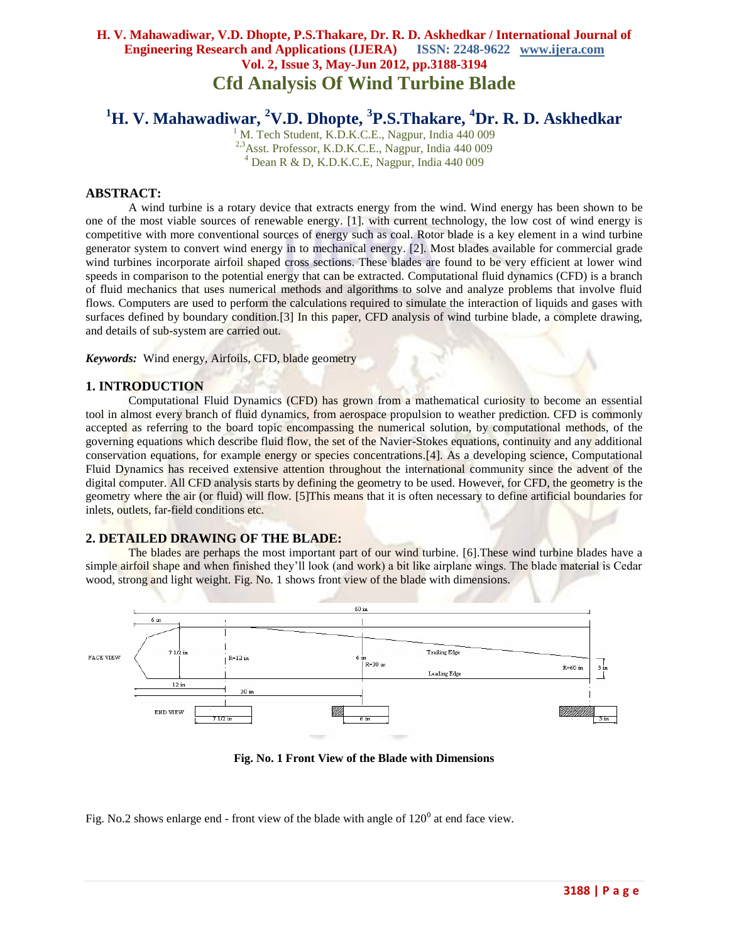# **<sup>1</sup>H. V. Mahawadiwar, <sup>2</sup>V.D. Dhopte, <sup>3</sup> P.S.Thakare, <sup>4</sup>Dr. R. D. Askhedkar**

 $1$  M. Tech Student, K.D.K.C.E., Nagpur, India 440 009 <sup>2,3</sup>Asst. Professor, K.D.K.C.E., Nagpur, India 440 009  $4$  Dean R & D, K.D.K.C.E, Nagpur, India 440 009

#### **ABSTRACT:**

A wind turbine is a rotary device that extracts energy from the [wind.](http://en.wikipedia.org/wiki/Wind) Wind energy has been shown to be one of the most viable sources of renewable energy. [1]. with current technology, the low cost of wind energy is competitive with more conventional sources of energy such as coal. Rotor blade is a key element in a wind turbine generator system to convert wind energy in to mechanical energy. [2]. Most blades available for commercial grade wind turbines incorporate airfoil shaped cross sections. These blades are found to be very efficient at lower wind speeds in comparison to the potential energy that can be extracted. Computational fluid dynamics (CFD) is a branch of fluid mechanics that uses numerical methods and algorithms to solve and analyze problems that involve fluid flows. Computers are used to perform the calculations required to simulate the interaction of liquids and gases with surfaces defined by boundary condition.[3] In this paper, CFD analysis of wind turbine blade, a complete drawing, and details of sub-system are carried out.

*Keywords:* Wind energy, Airfoils, CFD, blade geometry

#### **1. INTRODUCTION**

Computational Fluid Dynamics (CFD) has grown from a mathematical curiosity to become an essential tool in almost every branch of fluid dynamics, from aerospace propulsion to weather prediction. CFD is commonly accepted as referring to the board topic encompassing the numerical solution, by computational methods, of the governing equations which describe fluid flow, the set of the Navier-Stokes equations, continuity and any additional conservation equations, for example energy or species concentrations.[4]. As a developing science, Computational Fluid Dynamics has received extensive attention throughout the international community since the advent of the digital computer. All CFD analysis starts by defining the geometry to be used. However, for CFD, the geometry is the geometry where the air (or fluid) will flow. [5]This means that it is often necessary to define artificial boundaries for inlets, outlets, far-field conditions etc.

#### **2. DETAILED DRAWING OF THE BLADE:**

The blades are perhaps the most important part of our wind turbine. [6].These wind turbine blades have a simple airfoil shape and when finished they"ll look (and work) a bit like airplane wings. The blade material is Cedar wood, strong and light weight. Fig. No. 1 shows front view of the blade with dimensions.



**Fig. No. 1 Front View of the Blade with Dimensions**

Fig. No.2 shows enlarge end - front view of the blade with angle of  $120^{\circ}$  at end face view.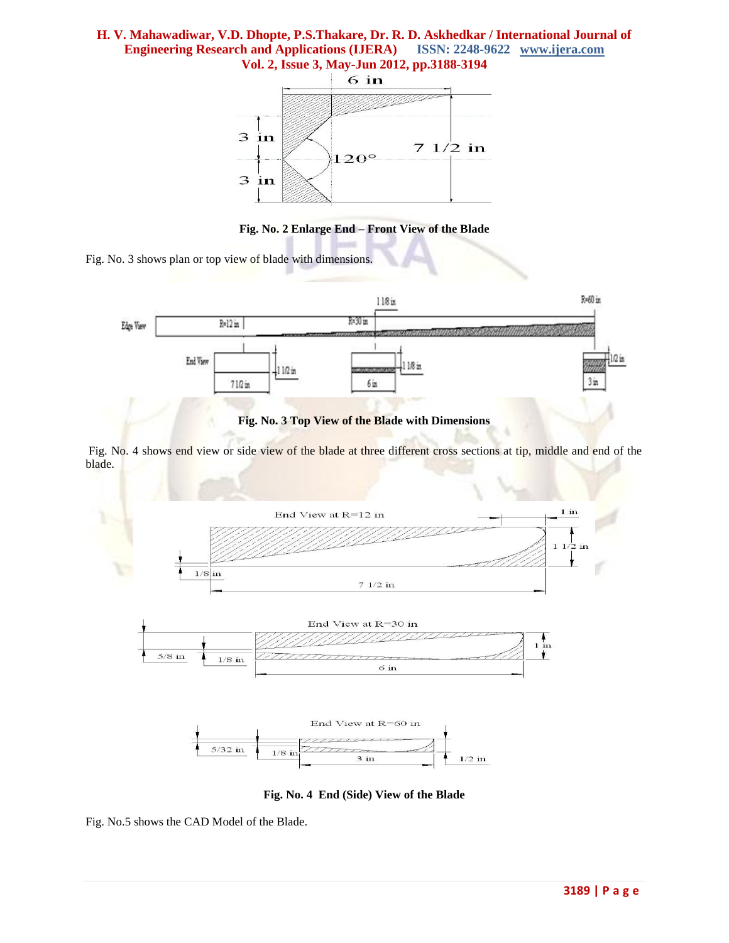

**Fig. No. 2 Enlarge End – Front View of the Blade**

Fig. No. 3 shows plan or top view of blade with dimensions.



**Fig. No. 3 Top View of the Blade with Dimensions**

Fig. No. 4 shows end view or side view of the blade at three different cross sections at tip, middle and end of the blade.



**Fig. No. 4 End (Side) View of the Blade**

Fig. No.5 shows the CAD Model of the Blade.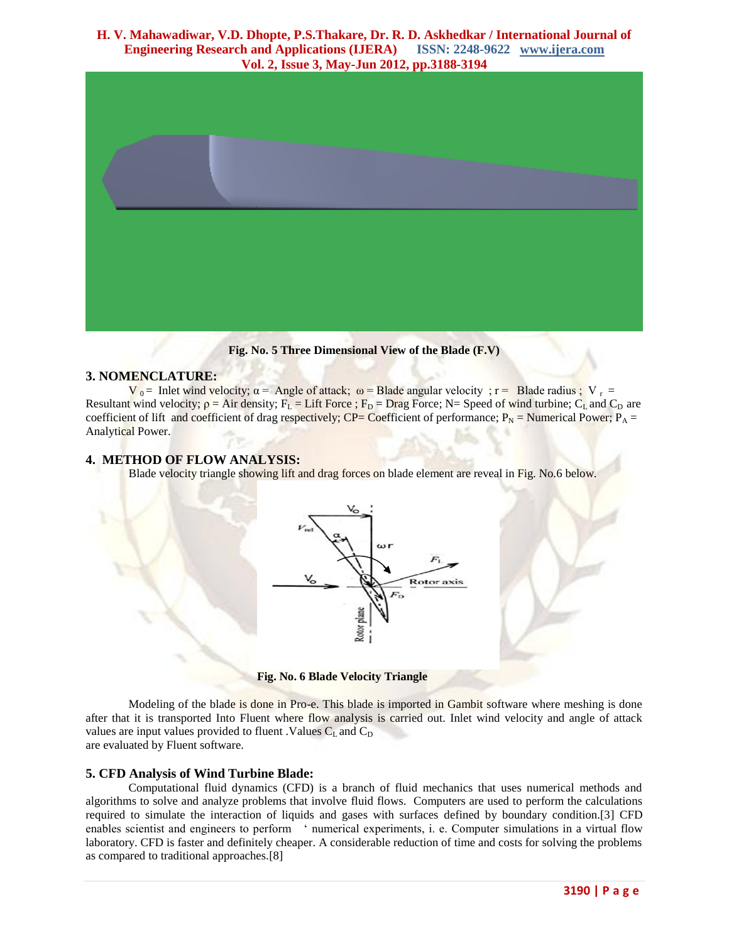

**Fig. No. 5 Three Dimensional View of the Blade (F.V)**

#### **3. NOMENCLATURE:**

 $V_0$  = Inlet wind velocity;  $\alpha$  = Angle of attack;  $\omega$  = Blade angular velocity;  $r =$  Blade radius;  $V_r =$ Resultant wind velocity;  $p = Air$  density;  $F_L = Lift$  Force;  $F_D = Drag$  Force; N= Speed of wind turbine;  $C_L$  and  $C_D$  are coefficient of lift and coefficient of drag respectively; CP= Coefficient of performance;  $P_N$  = Numerical Power;  $P_A$  = Analytical Power.

#### **4. METHOD OF FLOW ANALYSIS:**

Blade velocity triangle showing lift and drag forces on blade element are reveal in Fig. No.6 below.



**Fig. No. 6 Blade Velocity Triangle** 

Modeling of the blade is done in Pro-e. This blade is imported in Gambit software where meshing is done after that it is transported Into Fluent where flow analysis is carried out. Inlet wind velocity and angle of attack values are input values provided to fluent . Values  $C_L$  and  $C_D$ are evaluated by Fluent software.

## **5. CFD Analysis of Wind Turbine Blade:**

Computational fluid dynamics (CFD) is a branch of fluid mechanics that uses numerical methods and algorithms to solve and analyze problems that involve fluid flows. Computers are used to perform the calculations required to simulate the interaction of liquids and gases with surfaces defined by boundary condition.[3] CFD enables scientist and engineers to perform ' numerical experiments, i. e. Computer simulations in a virtual flow laboratory. CFD is faster and definitely cheaper. A considerable reduction of time and costs for solving the problems as compared to traditional approaches.[8]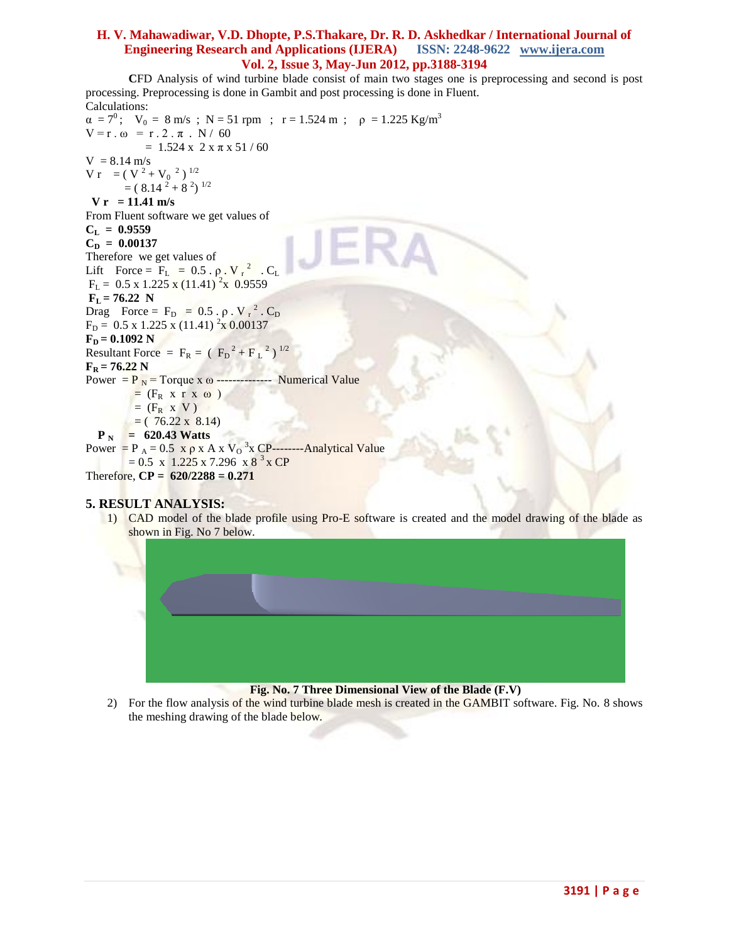**C**FD Analysis of wind turbine blade consist of main two stages one is preprocessing and second is post processing. Preprocessing is done in Gambit and post processing is done in Fluent. Calculations:

 $\alpha = 7^0$ ;  $V_0 = 8$  m/s; N = 51 rpm; r = 1.524 m;  $\rho = 1.225$  Kg/m<sup>3</sup>  $V = r \cdot \omega = r \cdot 2 \cdot \pi \cdot N / 60$  $= 1.524$  x 2 x  $\pi$  x 51 / 60  $V = 8.14 \text{ m/s}$  $V r = (V^2 + V_0^2)^{1/2}$  $= (8.14^{2} + 8^{2})^{1/2}$  **V r = 11.41 m/s** From Fluent software we get values of  $C_{L} = 0.9559$  $C_p = 0.00137$ Therefore we get values of Lift Force =  $F_L$  = 0.5 .  $\rho$ . V  $r^2$  . C<sub>L</sub>  $F_L = 0.5 \times 1.225 \times (11.41)^2 \times 0.9559$  $F_L = 76.22$  N Drag Force =  $F_D = 0.5 \cdot \rho \cdot V_r^2 \cdot C_D$  $F_D = 0.5 \times 1.225 \times (11.41)^2 \times 0.00137$  $F<sub>D</sub> = 0.1092 N$ Resultant Force =  $F_R = (F_D^2 + F_L^2)^{1/2}$  $F_R = 76.22 N$ Power =  $P_N$  = Torque x  $\omega$  -------------- Numerical Value  $=$   $(F_R \times r \times \omega)$  $=$  (F<sub>R</sub> x V)  $= (76.22 \times 8.14)$  $P_N = 620.43$  Watts Power =  $P_A = 0.5 \times \rho \times A \times V_0^3 \times CP$ --------Analytical Value  $= 0.5$  x 1.225 x 7.296 x 8<sup>3</sup> x CP Therefore, **CP = 620/2288 = 0.271**

## **5. RESULT ANALYSIS:**

1) CAD model of the blade profile using Pro-E software is created and the model drawing of the blade as shown in Fig. No 7 below.



#### 2) For the flow analysis of the wind turbine blade mesh is created in the GAMBIT software. Fig. No. 8 shows the meshing drawing of the blade below.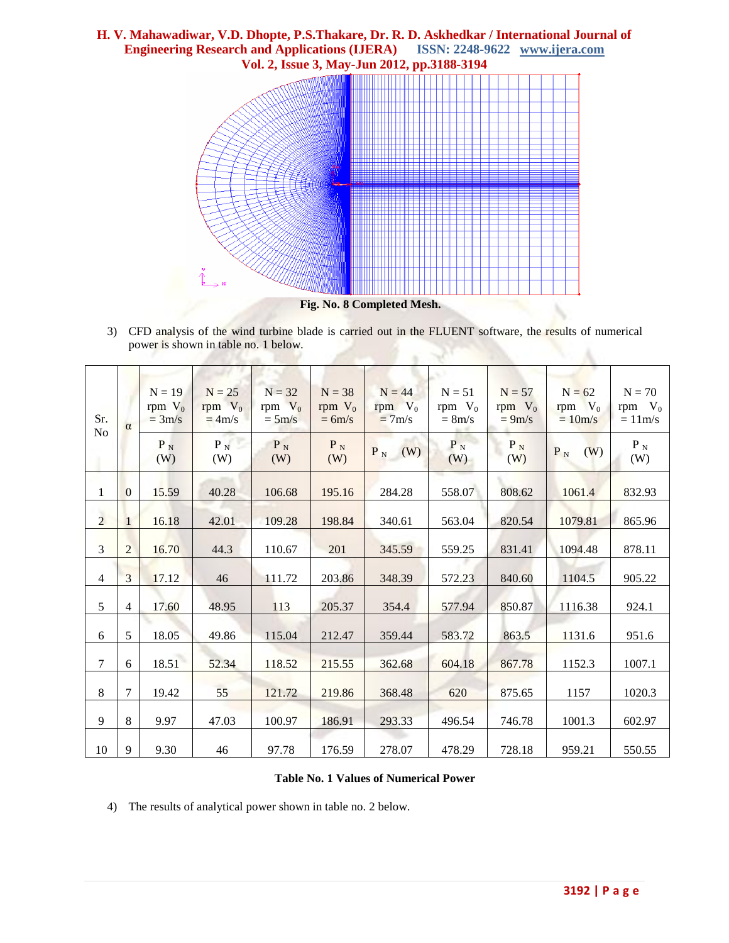

3) CFD analysis of the wind turbine blade is carried out in the FLUENT software, the results of numerical power is shown in table no. 1 below. A

| Sr.<br>N <sub>o</sub> | $\alpha$       | $N = 19$<br>rpm $V_0$<br>$=3m/s$ | $N = 25$<br>rpm $V_0$<br>$=4m/s$ | $N = 32$<br>rpm $V_0$<br>$=5m/s$ | $N = 38$<br>rpm $V_0$<br>$= 6m/s$ | $N = 44$<br>rpm $V_0$<br>$= 7m/s$ | $N = 51$<br>rpm $V_0$<br>$= 8m/s$ | $N = 57$<br>rpm $V_0$<br>$= 9m/s$ | $N = 62$<br>rpm $V_0$<br>$= 10m/s$ | $N = 70$<br>rpm $V_0$<br>$=11m/s$ |
|-----------------------|----------------|----------------------------------|----------------------------------|----------------------------------|-----------------------------------|-----------------------------------|-----------------------------------|-----------------------------------|------------------------------------|-----------------------------------|
|                       |                | $P_{N}$<br>(W)                   | $P_N$<br>(W)                     | $P_N$<br>(W)                     | $P_N$<br>(W)                      | $P_N$<br>(W)                      | $P_N$<br>(W)                      | $P_N$<br>(W)                      | (W)<br>$P_N$                       | $P_N$<br>(W)                      |
| 1                     | $\overline{0}$ | 15.59                            | 40.28                            | 106.68                           | 195.16                            | 284.28                            | 558.07                            | 808.62                            | 1061.4                             | 832.93                            |
| $\overline{2}$        | 1              | 16.18                            | 42.01                            | 109.28                           | 198.84                            | 340.61                            | 563.04                            | 820.54                            | 1079.81                            | 865.96                            |
| $\overline{3}$        | $\overline{2}$ | 16.70                            | 44.3                             | 110.67                           | 201                               | 345.59                            | 559.25                            | 831.41                            | 1094.48                            | 878.11                            |
| $\overline{4}$        | 3              | 17.12                            | 46                               | 111.72                           | 203.86                            | 348.39                            | 572.23                            | 840.60                            | 1104.5                             | 905.22                            |
| 5                     | $\overline{4}$ | 17.60                            | 48.95                            | 113                              | 205.37                            | 354.4                             | 577.94                            | 850.87                            | 1116.38                            | 924.1                             |
| 6                     | 5              | 18.05                            | 49.86                            | 115.04                           | 212.47                            | 359.44                            | 583.72                            | 863.5                             | 1131.6                             | 951.6                             |
| $\tau$                | 6              | 18.51                            | 52.34                            | 118.52                           | 215.55                            | 362.68                            | 604.18                            | 867.78                            | 1152.3                             | 1007.1                            |
| 8                     | 7              | 19.42                            | 55                               | 121.72                           | 219.86                            | 368.48                            | 620                               | 875.65                            | 1157                               | 1020.3                            |
| 9                     | 8              | 9.97                             | 47.03                            | 100.97                           | 186.91                            | 293.33                            | 496.54                            | 746.78                            | 1001.3                             | 602.97                            |
| 10                    | 9              | 9.30                             | 46                               | 97.78                            | 176.59                            | 278.07                            | 478.29                            | 728.18                            | 959.21                             | 550.55                            |

#### **Table No. 1 Values of Numerical Power**

4) The results of analytical power shown in table no. 2 below.

**Sept**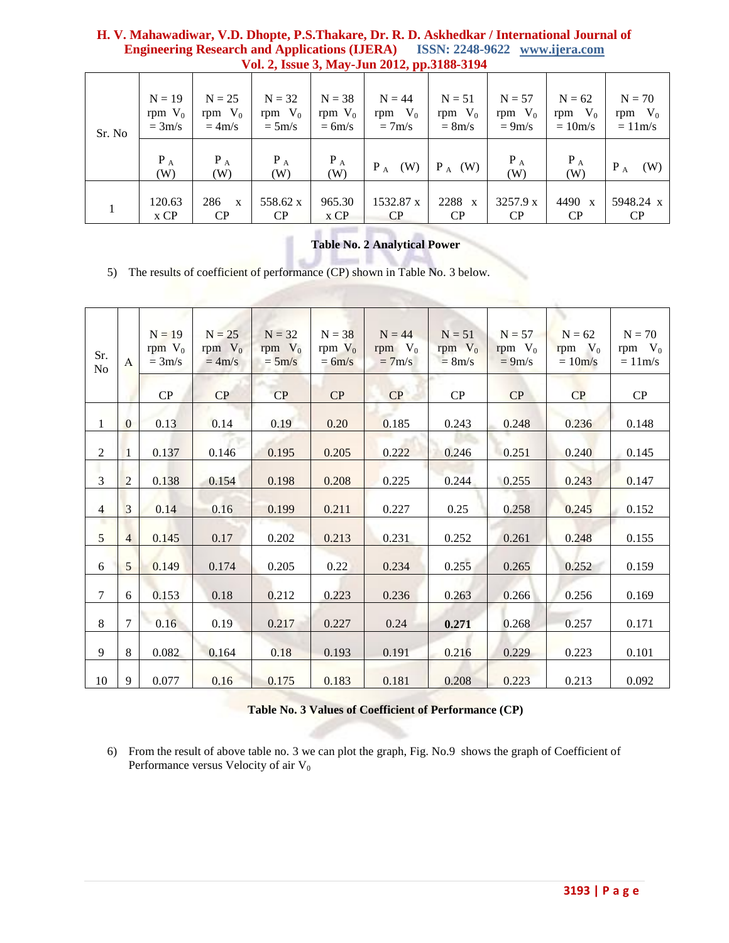| Sr. No | $N = 19$<br>rpm $V_0$<br>$=3m/s$ | $N = 25$<br>rpm $V_0$<br>$=4m/s$ | $N = 32$<br>rpm $V_0$<br>$=5m/s$ | $N = 38$<br>rpm $V_0$<br>$= 6m/s$ | .<br>$N = 44$<br>rpm $V_0$<br>$= 7m/s$ | $N = 51$<br>rpm $V_0$<br>$= 8m/s$ | $N = 57$<br>rpm $V_0$<br>$= 9m/s$ | $N = 62$<br>$V_0$<br>rpm<br>$=10m/s$ | $N = 70$<br>rpm $V_0$<br>$=11m/s$ |
|--------|----------------------------------|----------------------------------|----------------------------------|-----------------------------------|----------------------------------------|-----------------------------------|-----------------------------------|--------------------------------------|-----------------------------------|
|        | $P_A$<br>(W)                     | $P_A$<br>(W)                     | $P_A$<br>(W)                     | $P_A$<br>(W)                      | $P_A$<br>(W)                           | $P_A$ (W)                         | $P_A$<br>(W)                      | $P_A$<br>(W)                         | $P_A$<br>(W)                      |
|        | 120.63<br>x CP                   | 286<br>$\mathbf{x}$<br>CP        | 558.62 x<br>CP                   | 965.30<br>x CP                    | 1532.87 x<br>CP                        | 2288 x<br>CP                      | 3257.9 x<br>CP                    | 4490 x<br>CP                         | 5948.24 x<br>CP                   |

## **Table No. 2 Analytical Power**

5) The results of coefficient of performance (CP) shown in Table No. 3 below.

| Sr.<br>No      | $\mathbf{A}$   | $N = 19$<br>rpm $V_0$<br>$= 3m/s$ | $N = 25$<br>rpm $V_0$<br>$= 4m/s$ | $N = 32$<br>rpm $V_0$<br>$=5m/s$ | $N = 38$<br>rpm $V_0$<br>$= 6m/s$ | $N = 44$<br>rpm $V_0$<br>$= 7m/s$ | $N = 51$<br>rpm $V_0$<br>$= 8m/s$ | $N = 57$<br>rpm $V_0$<br>$= 9m/s$ | $N = 62$<br>rpm $V_0$<br>$= 10m/s$ | $N = 70$<br>rpm $V_0$<br>$= 11m/s$ |
|----------------|----------------|-----------------------------------|-----------------------------------|----------------------------------|-----------------------------------|-----------------------------------|-----------------------------------|-----------------------------------|------------------------------------|------------------------------------|
|                |                | ${\bf CP}$                        | CP                                | CP                               | CP                                | CP                                | ${\bf CP}$                        | CP                                | $\overline{CP}$                    | CP                                 |
| $\mathbf{1}$   | $\mathbf{0}$   | 0.13                              | 0.14                              | 0.19                             | 0.20                              | 0.185                             | 0.243                             | 0.248                             | 0.236                              | 0.148                              |
| $\mathfrak{2}$ | $\mathbf{1}$   | 0.137                             | 0.146                             | 0.195                            | 0.205                             | 0.222                             | 0.246                             | 0.251                             | 0.240                              | 0.145                              |
| $\overline{3}$ | 2              | 0.138                             | 0.154                             | 0.198                            | 0.208                             | 0.225                             | 0.244                             | 0.255                             | 0.243                              | 0.147                              |
| $\overline{4}$ | 3              | 0.14                              | 0.16                              | 0.199                            | 0.211                             | 0.227                             | 0.25                              | 0.258                             | 0.245                              | 0.152                              |
| 5              | $\overline{4}$ | 0.145                             | 0.17                              | 0.202                            | 0.213                             | 0.231                             | 0.252                             | 0.261                             | 0.248                              | 0.155                              |
| 6              | 5              | 0.149                             | 0.174                             | 0.205                            | 0.22                              | 0.234                             | 0.255                             | 0.265                             | 0.252                              | 0.159                              |
| $\tau$         | 6              | 0.153                             | 0.18                              | 0.212                            | 0.223                             | 0.236                             | 0.263                             | 0.266                             | 0.256                              | 0.169                              |
| 8              | $\overline{7}$ | 0.16                              | 0.19                              | 0.217                            | 0.227                             | 0.24                              | 0.271                             | 0.268                             | 0.257                              | 0.171                              |
| 9              | 8              | 0.082                             | 0.164                             | 0.18                             | 0.193                             | 0.191                             | 0.216                             | 0.229                             | 0.223                              | 0.101                              |
| $10\,$         | 9              | 0.077                             | 0.16                              | 0.175                            | 0.183                             | 0.181                             | 0.208                             | 0.223                             | 0.213                              | 0.092                              |

|  |  | <b>Table No. 3 Values of Coefficient of Performance (CP)</b> |  |
|--|--|--------------------------------------------------------------|--|
|--|--|--------------------------------------------------------------|--|

6) From the result of above table no. 3 we can plot the graph, Fig. No.9 shows the graph of Coefficient of Performance versus Velocity of air  $V_0$